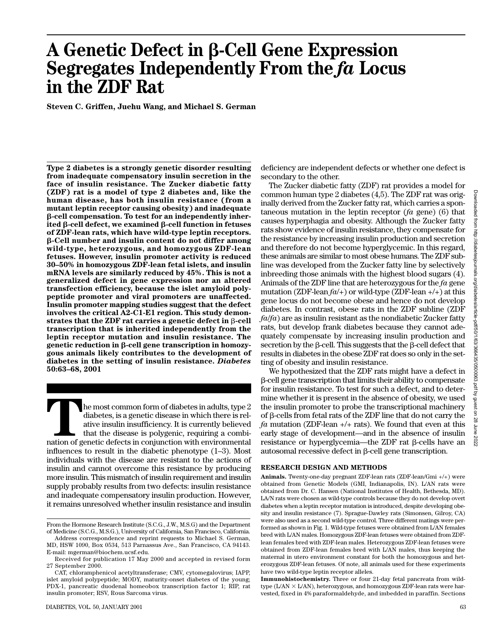# **A Genetic Defect in β-Cell Gene Expression Segregates Independently From the** *fa* **Locus in the ZDF Rat**

**Steven C. Griffen, Juehu Wang, and Michael S. German**

**Type 2 diabetes is a strongly genetic disorder resulting from inadequate compensatory insulin secretion in the face of insulin resistance. The Zucker diabetic fatty (ZDF) rat is a model of type 2 diabetes and, like the human disease, has both insulin resistance (from a mutant leptin receptor causing obesity) and inadequate** β-cell compensation. To test for an independently inherited β-cell defect, we examined β-cell function in fetuses **of ZDF-lean rats, which have wild-type leptin receptors.** -**-Cell number and insulin content do not differ among wild-type, heterozygous, and homozygous ZDF-lean fetuses. However, insulin promoter activity is reduced 30–50% in homozygous ZDF-lean fetal islets, and insulin mRNA levels are similarly reduced by 45%. This is not a generalized defect in gene expression nor an altered transfection efficiency, because the islet amyloid polypeptide promoter and viral promoters are unaffected. Insulin promoter mapping studies suggest that the defect involves the critical A2-C1-E1 region. This study demon-** ${\bf s}$ trates that the ZDF rat carries a genetic defect in  $\beta$ -cell **transcription that is inherited independently from the leptin receptor mutation and insulin resistance. The genetic reduction in β-cell gene transcription in homozygous animals likely contributes to the development of diabetes in the setting of insulin resistance.** *Diabetes* **50:63–68, 2001**

**THE MONDE INTERNATION CONFIDENTIFY:** A genetic disease in which there is relative insulin insufficiency. It is currently believed that the disease is polygenic, requiring a combination of genetic defects in conjunction wi diabetes, is a genetic disease in which there is relative insulin insufficiency. It is currently believed that the disease is polygenic, requiring a combiinfluences to result in the diabetic phenotype (1–3). Most individuals with the disease are resistant to the actions of insulin and cannot overcome this resistance by producing more insulin. This mismatch of insulin requirement and insulin supply probably results from two defects: insulin resistance and inadequate compensatory insulin production. However, it remains unresolved whether insulin resistance and insulin

deficiency are independent defects or whether one defect is secondary to the other.

The Zucker diabetic fatty (ZDF) rat provides a model for common human type 2 diabetes (4,5). The ZDF rat was originally derived from the Zucker fatty rat, which carries a spontaneous mutation in the leptin receptor (*fa* gene) (6) that causes hyperphagia and obesity. Although the Zucker fatty rats show evidence of insulin resistance, they compensate for the resistance by increasing insulin production and secretion and therefore do not become hyperglycemic. In this regard, these animals are similar to most obese humans. The ZDF subline was developed from the Zucker fatty line by selectively inbreeding those animals with the highest blood sugars (4). Animals of the ZDF line that are heterozygous for the *fa* gene mutation (ZDF-lean *fa*/+) or wild-type (ZDF-lean +/+) at this gene locus do not become obese and hence do not develop diabetes. In contrast, obese rats in the ZDF subline (ZDF *fa*/*fa*) are as insulin resistant as the nondiabetic Zucker fatty rats, but develop frank diabetes because they cannot adequately compensate by increasing insulin production and secretion by the  $\beta$ -cell. This suggests that the  $\beta$ -cell defect that results in diabetes in the obese ZDF rat does so only in the setting of obesity and insulin resistance.

We hypothesized that the ZDF rats might have a defect in --cell gene transcription that limits their ability to compensate for insulin resistance. To test for such a defect, and to determine whether it is present in the absence of obesity, we used the insulin promoter to probe the transcriptional machinery of  $\beta$ -cells from fetal rats of the ZDF line that do not carry the *fa* mutation (ZDF-lean +/+ rats). We found that even at this early stage of development—and in the absence of insulin resistance or hyperglycemia—the ZDF rat  $\beta$ -cells have an  $autosomal$  recessive defect in  $\beta$ -cell gene transcription.

## **RESEARCH DESIGN AND METHODS**

**Animals.** Twenty-one-day pregnant ZDF-lean rats (ZDF-lean/Gmi +/+) were obtained from Genetic Models (GMI, Indianapolis, IN). L/AN rats were obtained from Dr. C. Hansen (National Institutes of Health, Bethesda, MD). LA/N rats were chosen as wild-type controls because they do not develop overt diabetes when a leptin receptor mutation is introduced, despite developing obesity and insulin resistance (7). Sprague-Dawley rats (Simonsen, Gilroy, CA) were also used as a second wild-type control. Three different matings were performed as shown in Fig. 1. Wild-type fetuses were obtained from L/AN females bred with L/AN males. Homozygous ZDF-lean fetuses were obtained from ZDFlean females bred with ZDF-lean males. Heterozygous ZDF-lean fetuses were obtained from ZDF-lean females bred with L/AN males, thus keeping the maternal in utero environment constant for both the homozygous and heterozygous ZDF-lean fetuses. Of note, all animals used for these experiments have two wild-type leptin receptor alleles.

**Immunohistochemistry.** Three or four 21-day fetal pancreata from wildtype ( $L/AN \times L/AN$ ), heterozygous, and homozygous ZDF-lean rats were harvested, fixed in 4% paraformaldehyde, and imbedded in paraffin. Sections

From the Hormone Research Institute (S.C.G., J.W., M.S.G) and the Department of Medicine (S.C.G., M.S.G.), University of California, San Francisco, California.

Address correspondence and reprint requests to Michael S. German, MD, HSW 1090, Box 0534, 513 Parnassus Ave., San Francisco, CA 94143. E-mail: mgerman@biochem.ucsf.edu.

Received for publication 17 May 2000 and accepted in revised form 27 September 2000.

CAT, chloramphenicol acetyltransferase; CMV, cytomegalovirus; IAPP, islet amyloid polypeptide; MODY, maturity-onset diabetes of the young; PDX-1, pancreatic duodenal homeobox transcription factor 1; RIP, rat insulin promoter; RSV, Rous Sarcoma virus.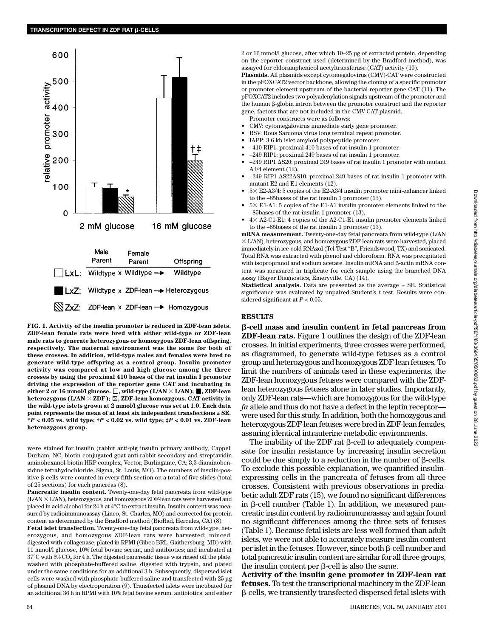

**FIG. 1. Activity of the insulin promoter is reduced in ZDF-lean islets. ZDF-lean female rats were bred with either wild-type or ZDF-lean male rats to generate heterozygous or homozygous ZDF-lean offspring, respectively. The maternal environment was the same for both of these crosses. In addition, wild-type males and females were bred to generate wild-type offspring as a control group. Insulin promoter activity was compared at low and high glucose among the three crosses by using the proximal 410 bases of the rat insulin I promoter driving the expression of the reporter gene CAT and incubating in** either 2 or 16 mmol/l glucose.  $\Box$ , wild-type (L/AN  $\times$  L/AN);  $\blacksquare$ , ZDF-lean heterozygous (L/AN  $\times$  ZDF);  $\boxtimes$ , ZDF-lean homozygous. CAT activity in **the wild-type islets grown at 2 mmol/l glucose was set at 1.0. Each data point represents the mean of at least six independent transfections ± SE. \****P* **< 0.05 vs. wild type; †***P* **< 0.02 vs. wild type; ‡***P* **< 0.01 vs. ZDF-lean heterozygous group.**

were stained for insulin (rabbit anti-pig insulin primary antibody, Cappel, Durham, NC; biotin conjugated goat anti-rabbit secondary and streptavidin aminohexanol-biotin HRP complex, Vector, Burlingame, CA; 3,3-diaminobenzidine tetrahydochloride, Sigma, St. Louis, MO). The numbers of insulin-positive  $\beta$ -cells were counted in every fifth section on a total of five slides (total of 25 sections) for each pancreas (8).

**Pancreatic insulin content.** Twenty-one-day fetal pancreata from wild-type  $(L/AN \times L/AN)$ , heterozygous, and homozygous ZDF-lean rats were harvested and placed in acid alcohol for 24 h at 4°C to extract insulin. Insulin content was measured by radioimmunoassay (Linco, St. Charles, MO) and corrected for protein content as determined by the Bradford method (BioRad, Hercules, CA) (8).

**Fetal islet transfection.** Twenty-one-day fetal pancreata from wild-type, heterozygous, and homozygous ZDF-lean rats were harvested; minced; digested with collagenase; plated in RPMI (Gibco BRL, Gaithersburg, MD) with 11 mmol/l glucose, 10% fetal bovine serum, and antibiotics; and incubated at  $37^{\circ}$ C with  $5\%$  CO<sub>2</sub> for 4 h. The digested pancreatic tissue was rinsed off the plate, washed with phosphate-buffered saline, digested with trypsin, and plated under the same conditions for an additional 3 h. Subsequently, dispersed is let cells were washed with phosphate-buffered saline and transfected with 25 µg of plasmid DNA by electroporation (9). Transfected islets were incubated for an additional 36 h in RPMI with 10% fetal bovine serum, antibiotics, and either

2 or 16 mmol/l glucose, after which 10–25 µg of extracted protein, depending on the reporter construct used (determined by the Bradford method), was assayed for chloramphenicol acetyltransferase (CAT) activity (10).

**Plasmids.** All plasmids except cytomegalovirus (CMV)-CAT were constructed in the pFOXCAT2 vector backbone, allowing the cloning of a specific promoter or promoter element upstream of the bacterial reporter gene CAT (11). The pFOXCAT2 includes two polyadenylation signals upstream of the promoter and  $t$ he human  $\beta$ -globin intron between the promoter construct and the reporter gene, factors that are not included in the CMV-CAT plasmid.

- Promoter constructs were as follows:
- CMV: cytomegalovirus immediate early gene promoter.
- RSV: Rous Sarcoma virus long terminal repeat promoter.
- IAPP: 3.6 kb islet amyloid polypeptide promoter.
- –410 RIP1: proximal 410 bases of rat insulin 1 promoter.
- –249 RIP1: proximal 249 bases of rat insulin 1 promoter.
- $-249$  RIP1  $\Delta$ S20: proximal 249 bases of rat insulin 1 promoter with mutant A3/4 element (12).
- $-249$  RIP1  $\Delta$ S22 $\Delta$ S10: proximal 249 bases of rat insulin 1 promoter with mutant E2 and E1 elements (12).
- 5 E2-A3/4: 5 copies of the E2-A3/4 insulin promoter mini-enhancer linked to the –85bases of the rat insulin 1 promoter (13).
- $\bullet$  5 $\times$  E1-A1: 5 copies of the E1-A1 insulin promoter elements linked to the –85bases of the rat insulin 1 promoter (13).
- $4 \times$  A2-C1-E1: 4 copies of the A2-C1-E1 insulin promoter elements linked to the –85bases of the rat insulin 1 promoter (13).

**mRNA measurement.** Twenty-one-day fetal pancreata from wild-type (L/AN  $\times$  L/AN), heterozygous, and homozygous ZDF-lean rats were harvested, placed immediately in ice-cold RNAzol (Tel-Test "B", Friendswood, TX) and sonicated. Total RNA was extracted with phenol and chloroform. RNA was precipitated with isopropranol and sodium acetate. Insulin mRNA and β-actin mRNA content was measured in triplicate for each sample using the branched DNA assay (Bayer Diagnostics, Emeryville, CA) (14).

**Statistical analysis.** Data are presented as the average  $\pm$  SE. Statistical significance was evaluated by unpaired Student's *t* test. Results were considered significant at  $P < 0.05$ .

#### **RESULTS**

-**-cell mass and insulin content in fetal pancreas from ZDF-lean rats.** Figure 1 outlines the design of the ZDF-lean crosses. In initial experiments, three crosses were performed, as diagrammed, to generate wild-type fetuses as a control group and heterozygous and homozygous ZDF-lean fetuses. To limit the numbers of animals used in these experiments, the ZDF-lean homozygous fetuses were compared with the ZDFlean heterozygous fetuses alone in later studies. Importantly, only ZDF-lean rats—which are homozygous for the wild-type *fa* allele and thus do not have a defect in the leptin receptor were used for this study. In addition, both the homozygous and heterozygous ZDF-lean fetuses were bred in ZDF-lean females, assuring identical intrauterine metabolic environments.

The inability of the ZDF rat  $\beta$ -cell to adequately compensate for insulin resistance by increasing insulin secretion could be due simply to a reduction in the number of  $\beta$ -cells. To exclude this possible explanation, we quantified insulinexpressing cells in the pancreata of fetuses from all three crosses. Consistent with previous observations in prediabetic adult ZDF rats (15), we found no significant differences in  $\beta$ -cell number (Table 1). In addition, we measured pancreatic insulin content by radioimmunoassay and again found no significant differences among the three sets of fetuses (Table 1). Because fetal islets are less well formed than adult islets, we were not able to accurately measure insulin content  $per$  islet in the fetuses. However, since both  $\beta$ -cell number and total pancreatic insulin content are similar for all three groups, the insulin content per  $\beta$ -cell is also the same.

**Activity of the insulin gene promoter in ZDF-lean rat fetuses.** To test the transcriptional machinery in the ZDF-lean --cells, we transiently transfected dispersed fetal islets with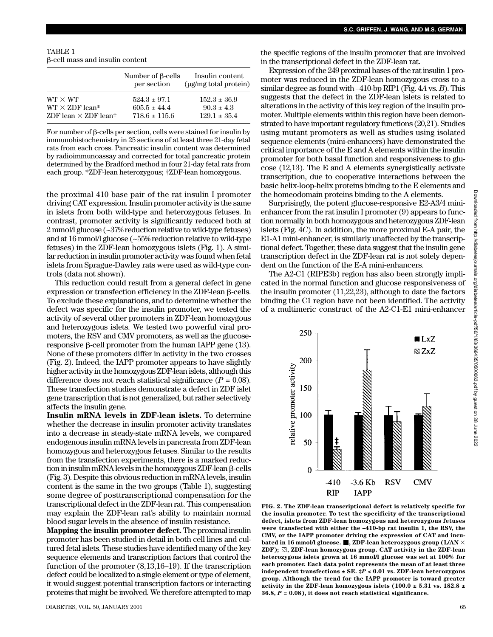TABLE 1 --cell mass and insulin content

|                                         | Number of <b>B</b> -cells<br>per section | Insulin content<br>$\mu$ g/mg total protein |
|-----------------------------------------|------------------------------------------|---------------------------------------------|
| $WT \times WT$                          | $524.3 \pm 97.1$                         | $152.3 \pm 36.9$                            |
| $WT \times ZDF$ lean*                   | $605.5 \pm 44.4$                         | $90.3 \pm 4.3$                              |
| ZDF lean $\times$ ZDF lean <sup>†</sup> | $718.6 \pm 115.6$                        | $129.1 \pm 35.4$                            |

For number of  $\beta$ -cells per section, cells were stained for insulin by immunohistochemistry in 25 sections of at least three 21-day fetal rats from each cross. Pancreatic insulin content was determined by radioimmunoassay and corrected for total pancreatic protein determined by the Bradford method in four 21-day fetal rats from each group. \*ZDF-lean heterozygous; †ZDF-lean homozygous.

the proximal 410 base pair of the rat insulin I promoter driving CAT expression. Insulin promoter activity is the same in islets from both wild-type and heterozygous fetuses. In contrast, promoter activity is significantly reduced both at 2 mmol/l glucose (~37% reduction relative to wild-type fetuses) and at 16 mmol/l glucose (~55% reduction relative to wild-type fetuses) in the ZDF-lean homozygous islets (Fig. 1). A similar reduction in insulin promoter activity was found when fetal islets from Sprague-Dawley rats were used as wild-type controls (data not shown).

This reduction could result from a general defect in gene  $expression$  or transfection efficiency in the ZDF-lean  $\beta$ -cells. To exclude these explanations, and to determine whether the defect was specific for the insulin promoter, we tested the activity of several other promoters in ZDF-lean homozygous and heterozygous islets. We tested two powerful viral promoters, the RSV and CMV promoters, as well as the glucose $r$ esponsive  $\beta$ -cell promoter from the human IAPP gene (13). None of these promoters differ in activity in the two crosses (Fig. 2). Indeed, the IAPP promoter appears to have slightly higher activity in the homozygous ZDF-lean islets, although this difference does not reach statistical significance  $(P = 0.08)$ . These transfection studies demonstrate a defect in ZDF islet gene transcription that is not generalized, but rather selectively affects the insulin gene.

**Insulin mRNA levels in ZDF-lean islets.** To determine whether the decrease in insulin promoter activity translates into a decrease in steady-state mRNA levels, we compared endogenous insulin mRNA levels in pancreata from ZDF-lean homozygous and heterozygous fetuses. Similar to the results from the transfection experiments, there is a marked reduction in insulin mRNA levels in the homozygous ZDF-lean  $\beta$ -cells (Fig. 3). Despite this obvious reduction in mRNA levels, insulin content is the same in the two groups (Table 1), suggesting some degree of posttranscriptional compensation for the transcriptional defect in the ZDF-lean rat. This compensation may explain the ZDF-lean rat's ability to maintain normal blood sugar levels in the absence of insulin resistance.

**Mapping the insulin promoter defect.** The proximal insulin promoter has been studied in detail in both cell lines and cultured fetal islets. These studies have identified many of the key sequence elements and transcription factors that control the function of the promoter (8,13,16–19). If the transcription defect could be localized to a single element or type of element, it would suggest potential transcription factors or interacting proteins that might be involved. We therefore attempted to map

the specific regions of the insulin promoter that are involved in the transcriptional defect in the ZDF-lean rat.

Expression of the 249 proximal bases of the rat insulin 1 promoter was reduced in the ZDF-lean homozygous cross to a similar degree as found with –410-bp RIP1 (Fig. 4*A* vs. *B*). This suggests that the defect in the ZDF-lean islets is related to alterations in the activity of this key region of the insulin promoter. Multiple elements within this region have been demonstrated to have important regulatory functions (20,21). Studies using mutant promoters as well as studies using isolated sequence elements (mini-enhancers) have demonstrated the critical importance of the E and A elements within the insulin promoter for both basal function and responsiveness to glucose (12,13). The E and A elements synergistically activate transcription, due to cooperative interactions between the basic helix-loop-helix proteins binding to the E elements and the homeodomain proteins binding to the A elements.

Surprisingly, the potent glucose-responsive E2-A3/4 minienhancer from the rat insulin I promoter (9) appears to function normally in both homozygous and heterozygous ZDF-lean islets (Fig. 4*C*). In addition, the more proximal E-A pair, the E1-A1 mini-enhancer, is similarly unaffected by the transcriptional defect. Together, these data suggest that the insulin gene transcription defect in the ZDF-lean rat is not solely dependent on the function of the E-A mini-enhancers.

The A2-C1 (RIPE3b) region has also been strongly implicated in the normal function and glucose responsiveness of the insulin promoter (11,22,23), although to date the factors binding the C1 region have not been identified. The activity of a multimeric construct of the A2-C1-E1 mini-enhancer



**FIG. 2. The ZDF-lean transcriptional defect is relatively specific for the insulin promoter. To test the specificity of the transcriptional defect, islets from ZDF-lean homozygous and heterozygous fetuses were transfected with either the –410-bp rat insulin 1, the RSV, the CMV, or the IAPP promoter driving the expression of CAT and incu**bated in 16 mmol/l glucose.  $\blacksquare$ , ZDF-lean heterozygous group (L/AN  $\times$  $ZDF$ ;  $\Im$ ,  $ZDF$ -lean homozygous group. CAT activity in the ZDF-lean **heterozygous islets grown at 16 mmol/l glucose was set at 100% for each promoter. Each data point represents the mean of at least three independent transfections ± SE. ‡***P* **< 0.01 vs. ZDF-lean heterozygous group. Although the trend for the IAPP promoter is toward greater activity in the ZDF-lean homozygous islets (100.0 ± 5.31 vs. 182.8 ± 36.8,** *P* **= 0.08), it does not reach statistical significance.**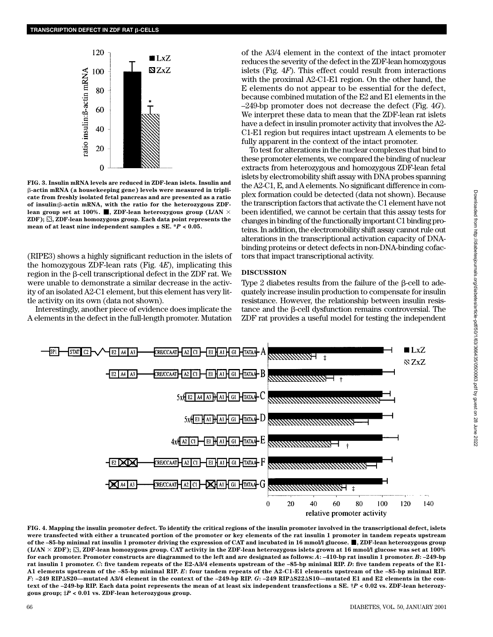

**FIG. 3. Insulin mRNA levels are reduced in ZDF-lean islets. Insulin and** -**-actin mRNA (a housekeeping gene) levels were measured in triplicate from freshly isolated fetal pancreas and are presented as a ratio of insulin:**-**-actin mRNA, with the ratio for the heterozygous ZDF**lean group set at 100%. **I**, ZDF-lean heterozygous group (L/AN  $\times$ **ZDF); , ZDF-lean homozygous group. Each data point represents the mean of at least nine independent samples ± SE. \****P* **< 0.05.**

(RIPE3) shows a highly significant reduction in the islets of the homozygous ZDF-lean rats (Fig. 4*E*), implicating this region in the  $\beta$ -cell transcriptional defect in the ZDF rat. We were unable to demonstrate a similar decrease in the activity of an isolated A2-C1 element, but this element has very little activity on its own (data not shown).

Interestingly, another piece of evidence does implicate the A elements in the defect in the full-length promoter. Mutation of the A3/4 element in the context of the intact promoter reduces the severity of the defect in the ZDF-lean homozygous islets (Fig. 4*F*). This effect could result from interactions with the proximal A2-C1-E1 region. On the other hand, the E elements do not appear to be essential for the defect, because combined mutation of the E2 and E1 elements in the –249-bp promoter does not decrease the defect (Fig. 4*G*). We interpret these data to mean that the ZDF-lean rat islets have a defect in insulin promoter activity that involves the A2- C1-E1 region but requires intact upstream A elements to be fully apparent in the context of the intact promoter.

To test for alterations in the nuclear complexes that bind to these promoter elements, we compared the binding of nuclear extracts from heterozygous and homozygous ZDF-lean fetal islets by electromobility shift assay with DNA probes spanning the A2-C1, E, and A elements. No significant difference in complex formation could be detected (data not shown). Because the transcription factors that activate the C1 element have not been identified, we cannot be certain that this assay tests for changes in binding of the functionally important C1 binding proteins. In addition, the electromobility shift assay cannot rule out alterations in the transcriptional activation capacity of DNAbinding proteins or detect defects in non-DNA-binding cofactors that impact transcriptional activity.

# **DISCUSSION**

Type 2 diabetes results from the failure of the  $\beta$ -cell to adequately increase insulin production to compensate for insulin resistance. However, the relationship between insulin resis $t$ ance and the  $\beta$ -cell dysfunction remains controversial. The ZDF rat provides a useful model for testing the independent



**FIG. 4. Mapping the insulin promoter defect. To identify the critical regions of the insulin promoter involved in the transcriptional defect, islets were transfected with either a truncated portion of the promoter or key elements of the rat insulin 1 promoter in tandem repeats upstream** of the -85-bp minimal rat insulin 1 promoter driving the expression of CAT and incubated in 16 mmol/l glucose. **...**, ZDF-lean heterozygous group  $(LAN \times ZDF)$ ;  $\mathbb{S}$ , ZDF-lean homozygous group. CAT activity in the ZDF-lean heterozygous islets grown at 16 mmol/l glucose was set at 100% **for each promoter. Promoter constructs are diagrammed to the left and are designated as follows:** *A***: –410-bp rat insulin 1 promoter.** *B***: –249-bp rat insulin 1 promoter.** *C***: five tandem repeats of the E2-A3/4 elements upstream of the –85-bp minimal RIP.** *D***: five tandem repeats of the E1- A1 elements upstream of the –85-bp minimal RIP.** *E***: four tandem repeats of the A2-C1-E1 elements upstream of the –85-bp minimal RIP.** *F***: –249 RIPS20—mutated A3/4 element in the context of the –249-bp RIP.** *G***: –249 RIPS22S10—mutated E1 and E2 elements in the context of the –249-bp RIP. Each data point represents the mean of at least six independent transfections ± SE. †***P* **< 0.02 vs. ZDF-lean heterozygous group; ‡***P* **< 0.01 vs. ZDF-lean heterozygous group.**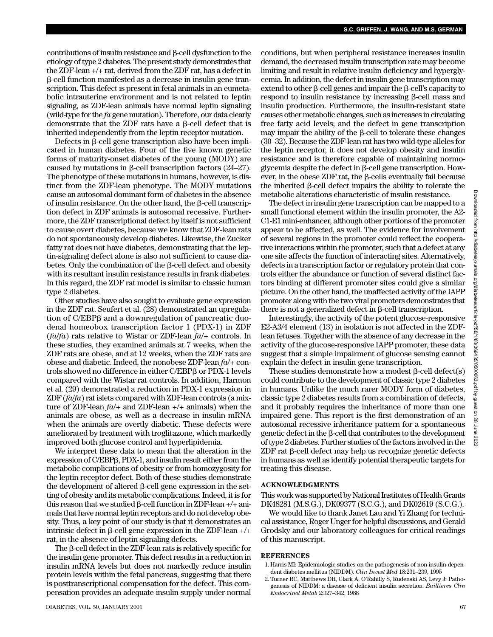$\text{contributions}$  of insulin resistance and  $\beta$ -cell dysfunction to the etiology of type 2 diabetes. The present study demonstrates that the ZDF-lean +/+ rat, derived from the ZDF rat, has a defect in --cell function manifested as a decrease in insulin gene transcription. This defect is present in fetal animals in an eumetabolic intrauterine environment and is not related to leptin signaling, as ZDF-lean animals have normal leptin signaling (wild-type for the *fa* gene mutation). Therefore, our data clearly demonstrate that the ZDF rats have a  $\beta$ -cell defect that is inherited independently from the leptin receptor mutation.

 $Defects$  in  $\beta$ -cell gene transcription also have been implicated in human diabetes. Four of the five known genetic forms of maturity-onset diabetes of the young (MODY) are caused by mutations in  $\beta$ -cell transcription factors (24–27). The phenotype of these mutations in humans, however, is distinct from the ZDF-lean phenotype. The MODY mutations cause an autosomal dominant form of diabetes in the absence of insulin resistance. On the other hand, the  $\beta$ -cell transcription defect in ZDF animals is autosomal recessive. Furthermore, the ZDF transcriptional defect by itself is not sufficient to cause overt diabetes, because we know that ZDF-lean rats do not spontaneously develop diabetes. Likewise, the Zucker fatty rat does not have diabetes, demonstrating that the leptin-signaling defect alone is also not sufficient to cause diabetes. Only the combination of the  $\beta$ -cell defect and obesity with its resultant insulin resistance results in frank diabetes. In this regard, the ZDF rat model is similar to classic human type 2 diabetes.

Other studies have also sought to evaluate gene expression in the ZDF rat. Seufert et al. (28) demonstrated an upregulation of C/EBPß and a downregulation of pancreatic duodenal homeobox transcription factor 1 (PDX-1) in ZDF (*fa*/*fa*) rats relative to Wistar or ZDF-lean *fa*/+ controls. In these studies, they examined animals at 7 weeks, when the ZDF rats are obese, and at 12 weeks, when the ZDF rats are obese and diabetic. Indeed, the nonobese ZDF-lean *fa*/+ controls showed no difference in either C/EBPß or PDX-1 levels compared with the Wistar rat controls. In addition, Harmon et al. (29) demonstrated a reduction in PDX-1 expression in ZDF (*fa*/*fa*) rat islets compared with ZDF-lean controls (a mixture of ZDF-lean *fa*/+ and ZDF-lean +/+ animals) when the animals are obese, as well as a decrease in insulin mRNA when the animals are overtly diabetic. These defects were ameliorated by treatment with troglitazone, which markedly improved both glucose control and hyperlipidemia.

We interpret these data to mean that the alteration in the expression of C/EBPß, PDX-1, and insulin result either from the metabolic complications of obesity or from homozygosity for the leptin receptor defect. Both of these studies demonstrate the development of altered  $\beta$ -cell gene expression in the setting of obesity and its metabolic complications. Indeed, it is for this reason that we studied  $\beta$ -cell function in ZDF-lean +/+ animals that have normal leptin receptors and do not develop obesity. Thus, a key point of our study is that it demonstrates an intrinsic defect in  $\beta$ -cell gene expression in the ZDF-lean  $+/+$ rat, in the absence of leptin signaling defects.

The  $\beta$ -cell defect in the ZDF-lean rats is relatively specific for the insulin gene promoter. This defect results in a reduction in insulin mRNA levels but does not markedly reduce insulin protein levels within the fetal pancreas, suggesting that there is posttranscriptional compensation for the defect. This compensation provides an adequate insulin supply under normal

conditions, but when peripheral resistance increases insulin demand, the decreased insulin transcription rate may become limiting and result in relative insulin deficiency and hyperglycemia. In addition, the defect in insulin gene transcription may extend to other  $\beta$ -cell genes and impair the  $\beta$ -cell's capacity to  $r$ espond to insulin resistance by increasing  $\beta$ -cell mass and insulin production. Furthermore, the insulin-resistant state causes other metabolic changes, such as increases in circulating free fatty acid levels; and the defect in gene transcription may impair the ability of the  $\beta$ -cell to tolerate these changes (30–32). Because the ZDF-lean rat has two wild-type alleles for the leptin receptor, it does not develop obesity and insulin resistance and is therefore capable of maintaining normo $glycemia$  despite the defect in  $\beta$ -cell gene transcription. However, in the obese ZDF rat, the  $\beta$ -cells eventually fail because the inherited  $\beta$ -cell defect impairs the ability to tolerate the metabolic alterations characteristic of insulin resistance.

The defect in insulin gene transcription can be mapped to a small functional element within the insulin promoter, the A2- C1-E1 mini-enhancer, although other portions of the promoter appear to be affected, as well. The evidence for involvement of several regions in the promoter could reflect the cooperative interactions within the promoter, such that a defect at any one site affects the function of interacting sites. Alternatively, defects in a transcription factor or regulatory protein that controls either the abundance or function of several distinct factors binding at different promoter sites could give a similar picture. On the other hand, the unaffected activity of the IAPP promoter along with the two viral promoters demonstrates that there is not a generalized defect in  $\beta$ -cell transcription.

Interestingly, the activity of the potent glucose-responsive E2-A3/4 element (13) in isolation is not affected in the ZDFlean fetuses. Together with the absence of any decrease in the activity of the glucose-responsive IAPP promoter, these data suggest that a simple impairment of glucose sensing cannot explain the defect in insulin gene transcription.

These studies demonstrate how a modest  $\beta$ -cell defect(s) could contribute to the development of classic type 2 diabetes in humans. Unlike the much rarer MODY form of diabetes, classic type 2 diabetes results from a combination of defects, and it probably requires the inheritance of more than one impaired gene. This report is the first demonstration of an autosomal recessive inheritance pattern for a spontaneous  $genetic defect in the \beta-cell that contributes to the development$ of type 2 diabetes. Further studies of the factors involved in the  $ZDF$  rat  $\beta$ -cell defect may help us recognize genetic defects in humans as well as identify potential therapeutic targets for treating this disease.

# **ACKNOWLEDGMENTS**

This work was supported by National Institutes of Health Grants DK48281 (M.S.G.), DK09377 (S.C.G.), and DK02619 (S.C.G.).

We would like to thank Janet Lau and Yi Zhang for technical assistance, Roger Unger for helpful discussions, and Gerald Grodsky and our laboratory colleagues for critical readings of this manuscript.

## **REFERENCES**

- 1. Harris MI: Epidemiologic studies on the pathogenesis of non-insulin-dependent diabetes mellitus (NIDDM). *Clin Invest Med* 18:231–239, 1995
- 2. Turner RC, Matthews DR, Clark A, O'Rahilly S, Rudenski AS, Levy J: Pathogenesis of NIDDM: a disease of deficient insulin secretion. *Baillieres Clin Endocrinol Metab* 2:327–342, 1988